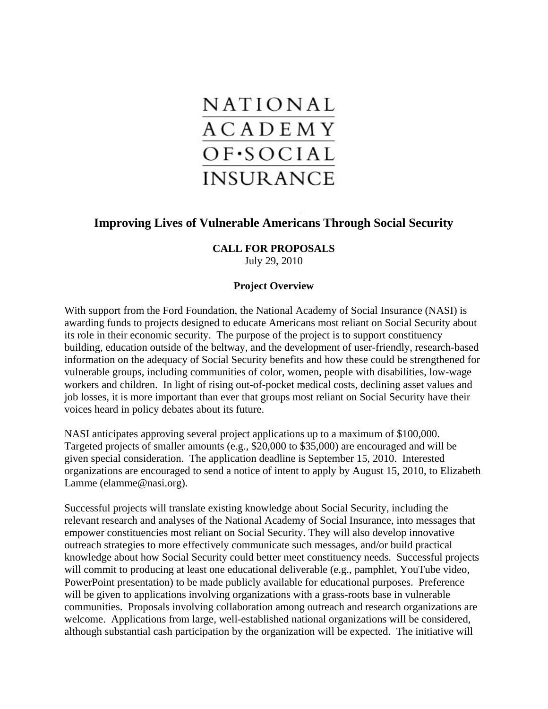

# **Improving Lives of Vulnerable Americans Through Social Security**

## **CALL FOR PROPOSALS**

July 29, 2010

## **Project Overview**

With support from the Ford Foundation, the National Academy of Social Insurance (NASI) is awarding funds to projects designed to educate Americans most reliant on Social Security about its role in their economic security. The purpose of the project is to support constituency building, education outside of the beltway, and the development of user-friendly, research-based information on the adequacy of Social Security benefits and how these could be strengthened for vulnerable groups, including communities of color, women, people with disabilities, low-wage workers and children. In light of rising out-of-pocket medical costs, declining asset values and job losses, it is more important than ever that groups most reliant on Social Security have their voices heard in policy debates about its future.

NASI anticipates approving several project applications up to a maximum of \$100,000. Targeted projects of smaller amounts (e.g., \$20,000 to \$35,000) are encouraged and will be given special consideration. The application deadline is September 15, 2010. Interested organizations are encouraged to send a notice of intent to apply by August 15, 2010, to Elizabeth Lamme (elamme@nasi.org).

Successful projects will translate existing knowledge about Social Security, including the relevant research and analyses of the National Academy of Social Insurance, into messages that empower constituencies most reliant on Social Security. They will also develop innovative outreach strategies to more effectively communicate such messages, and/or build practical knowledge about how Social Security could better meet constituency needs. Successful projects will commit to producing at least one educational deliverable (e.g., pamphlet, YouTube video, PowerPoint presentation) to be made publicly available for educational purposes. Preference will be given to applications involving organizations with a grass-roots base in vulnerable communities. Proposals involving collaboration among outreach and research organizations are welcome. Applications from large, well-established national organizations will be considered, although substantial cash participation by the organization will be expected. The initiative will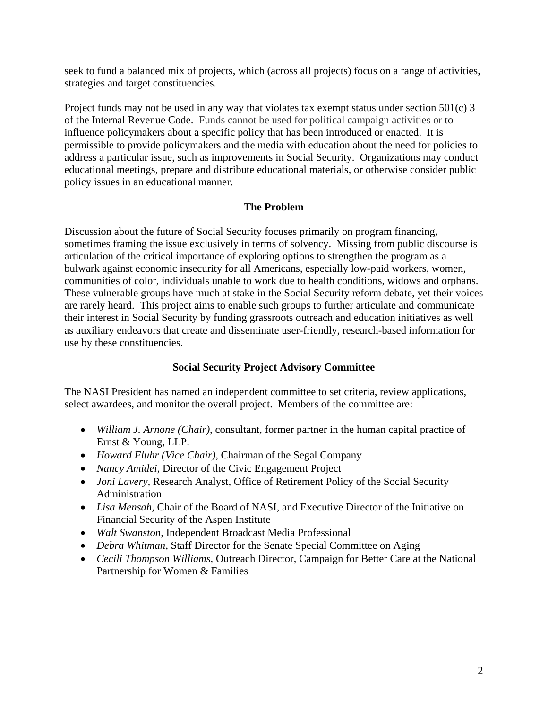seek to fund a balanced mix of projects, which (across all projects) focus on a range of activities, strategies and target constituencies.

Project funds may not be used in any way that violates tax exempt status under section 501(c) 3 of the Internal Revenue Code. Funds cannot be used for political campaign activities or to influence policymakers about a specific policy that has been introduced or enacted. It is permissible to provide policymakers and the media with education about the need for policies to address a particular issue, such as improvements in Social Security. Organizations may conduct educational meetings, prepare and distribute educational materials, or otherwise consider public policy issues in an educational manner.

## **The Problem**

Discussion about the future of Social Security focuses primarily on program financing, sometimes framing the issue exclusively in terms of solvency. Missing from public discourse is articulation of the critical importance of exploring options to strengthen the program as a bulwark against economic insecurity for all Americans, especially low-paid workers, women, communities of color, individuals unable to work due to health conditions, widows and orphans. These vulnerable groups have much at stake in the Social Security reform debate, yet their voices are rarely heard. This project aims to enable such groups to further articulate and communicate their interest in Social Security by funding grassroots outreach and education initiatives as well as auxiliary endeavors that create and disseminate user-friendly, research-based information for use by these constituencies.

## **Social Security Project Advisory Committee**

The NASI President has named an independent committee to set criteria, review applications, select awardees, and monitor the overall project. Members of the committee are:

- *William J. Arnone (Chair)*, consultant, former partner in the human capital practice of Ernst & Young, LLP.
- *Howard Fluhr (Vice Chair),* Chairman of the Segal Company
- *Nancy Amidei, Director of the Civic Engagement Project*
- *Joni Lavery, Research Analyst, Office of Retirement Policy of the Social Security* Administration
- *Lisa Mensah,* Chair of the Board of NASI, and Executive Director of the Initiative on Financial Security of the Aspen Institute
- *Walt Swanston,* Independent Broadcast Media Professional
- *Debra Whitman,* Staff Director for the Senate Special Committee on Aging
- *Cecili Thompson Williams,* Outreach Director, Campaign for Better Care at the National Partnership for Women & Families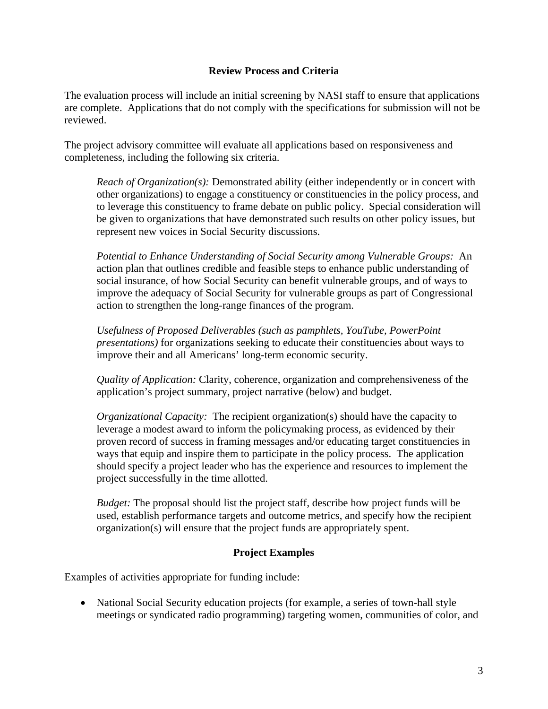#### **Review Process and Criteria**

The evaluation process will include an initial screening by NASI staff to ensure that applications are complete. Applications that do not comply with the specifications for submission will not be reviewed.

The project advisory committee will evaluate all applications based on responsiveness and completeness, including the following six criteria.

*Reach of Organization(s):* Demonstrated ability (either independently or in concert with other organizations) to engage a constituency or constituencies in the policy process, and to leverage this constituency to frame debate on public policy. Special consideration will be given to organizations that have demonstrated such results on other policy issues, but represent new voices in Social Security discussions.

*Potential to Enhance Understanding of Social Security among Vulnerable Groups:*An action plan that outlines credible and feasible steps to enhance public understanding of social insurance, of how Social Security can benefit vulnerable groups, and of ways to improve the adequacy of Social Security for vulnerable groups as part of Congressional action to strengthen the long-range finances of the program.

*Usefulness of Proposed Deliverables (such as pamphlets, YouTube, PowerPoint presentations)* for organizations seeking to educate their constituencies about ways to improve their and all Americans' long-term economic security.

*Quality of Application:* Clarity, coherence, organization and comprehensiveness of the application's project summary, project narrative (below) and budget.

*Organizational Capacity:* The recipient organization(s) should have the capacity to leverage a modest award to inform the policymaking process, as evidenced by their proven record of success in framing messages and/or educating target constituencies in ways that equip and inspire them to participate in the policy process. The application should specify a project leader who has the experience and resources to implement the project successfully in the time allotted.

*Budget:* The proposal should list the project staff, describe how project funds will be used, establish performance targets and outcome metrics, and specify how the recipient organization(s) will ensure that the project funds are appropriately spent.

## **Project Examples**

Examples of activities appropriate for funding include:

• National Social Security education projects (for example, a series of town-hall style meetings or syndicated radio programming) targeting women, communities of color, and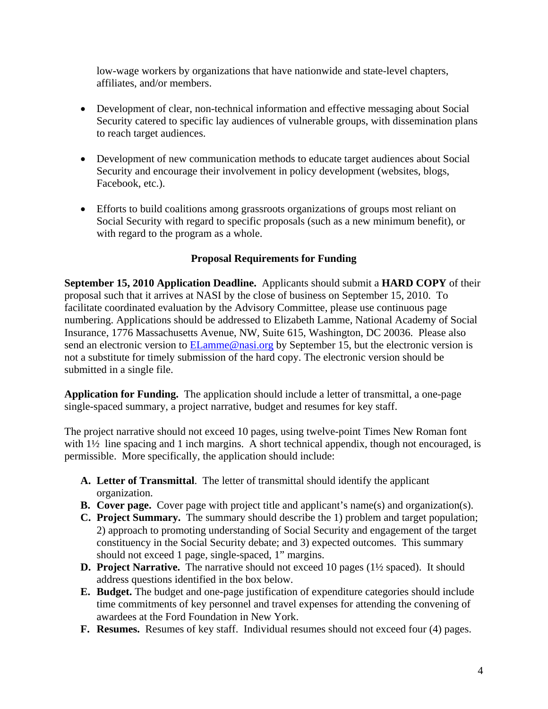low-wage workers by organizations that have nationwide and state-level chapters, affiliates, and/or members.

- Development of clear, non-technical information and effective messaging about Social Security catered to specific lay audiences of vulnerable groups, with dissemination plans to reach target audiences.
- Development of new communication methods to educate target audiences about Social Security and encourage their involvement in policy development (websites, blogs, Facebook, etc.).
- Efforts to build coalitions among grassroots organizations of groups most reliant on Social Security with regard to specific proposals (such as a new minimum benefit), or with regard to the program as a whole.

## **Proposal Requirements for Funding**

**September 15, 2010 Application Deadline.** Applicants should submit a **HARD COPY** of their proposal such that it arrives at NASI by the close of business on September 15, 2010. To facilitate coordinated evaluation by the Advisory Committee, please use continuous page numbering. Applications should be addressed to Elizabeth Lamme, National Academy of Social Insurance, 1776 Massachusetts Avenue, NW, Suite 615, Washington, DC 20036. Please also send an electronic version to **ELamme@nasi.org** by September 15, but the electronic version is not a substitute for timely submission of the hard copy. The electronic version should be submitted in a single file.

**Application for Funding.** The application should include a letter of transmittal, a one-page single-spaced summary, a project narrative, budget and resumes for key staff.

The project narrative should not exceed 10 pages, using twelve-point Times New Roman font with  $1\frac{1}{2}$  line spacing and 1 inch margins. A short technical appendix, though not encouraged, is permissible. More specifically, the application should include:

- **A. Letter of Transmittal**. The letter of transmittal should identify the applicant organization.
- **B. Cover page.** Cover page with project title and applicant's name(s) and organization(s).
- **C. Project Summary.** The summary should describe the 1) problem and target population; 2) approach to promoting understanding of Social Security and engagement of the target constituency in the Social Security debate; and 3) expected outcomes. This summary should not exceed 1 page, single-spaced, 1" margins.
- **D. Project Narrative.** The narrative should not exceed 10 pages (1½ spaced). It should address questions identified in the box below.
- **E. Budget.** The budget and one-page justification of expenditure categories should include time commitments of key personnel and travel expenses for attending the convening of awardees at the Ford Foundation in New York.
- **F. Resumes.** Resumes of key staff. Individual resumes should not exceed four (4) pages.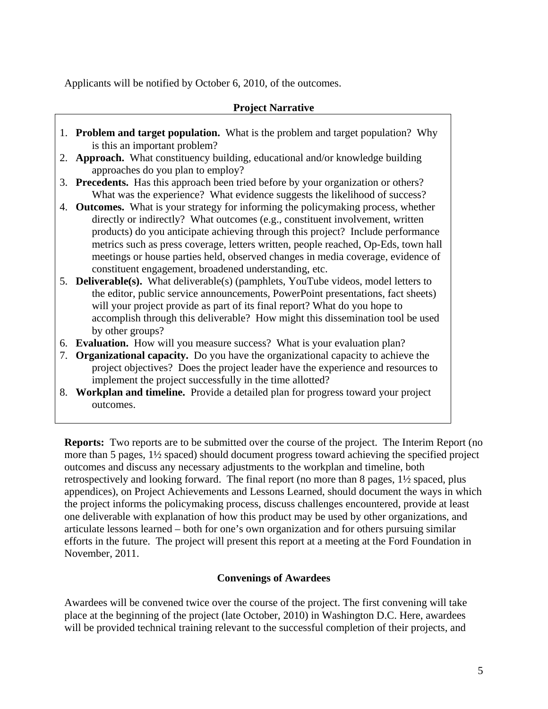Applicants will be notified by October 6, 2010, of the outcomes.

#### **Project Narrative**

- 1. **Problem and target population.** What is the problem and target population? Why is this an important problem?
- 2. **Approach.** What constituency building, educational and/or knowledge building approaches do you plan to employ?
- 3. **Precedents.** Has this approach been tried before by your organization or others? What was the experience? What evidence suggests the likelihood of success?
- 4. **Outcomes.** What is your strategy for informing the policymaking process, whether directly or indirectly? What outcomes (e.g., constituent involvement, written products) do you anticipate achieving through this project? Include performance metrics such as press coverage, letters written, people reached, Op-Eds, town hall meetings or house parties held, observed changes in media coverage, evidence of constituent engagement, broadened understanding, etc.
- 5. **Deliverable(s).** What deliverable(s) (pamphlets, YouTube videos, model letters to the editor, public service announcements, PowerPoint presentations, fact sheets) will your project provide as part of its final report? What do you hope to accomplish through this deliverable? How might this dissemination tool be used by other groups?
- 6. **Evaluation.** How will you measure success? What is your evaluation plan?
- 7. **Organizational capacity.** Do you have the organizational capacity to achieve the project objectives? Does the project leader have the experience and resources to implement the project successfully in the time allotted?
- 8. **Workplan and timeline.** Provide a detailed plan for progress toward your project outcomes.

**Reports:** Two reports are to be submitted over the course of the project. The Interim Report (no more than 5 pages, 1½ spaced) should document progress toward achieving the specified project outcomes and discuss any necessary adjustments to the workplan and timeline, both retrospectively and looking forward. The final report (no more than 8 pages, 1½ spaced, plus appendices), on Project Achievements and Lessons Learned, should document the ways in which the project informs the policymaking process, discuss challenges encountered, provide at least one deliverable with explanation of how this product may be used by other organizations, and articulate lessons learned – both for one's own organization and for others pursuing similar efforts in the future. The project will present this report at a meeting at the Ford Foundation in November, 2011.

## **Convenings of Awardees**

Awardees will be convened twice over the course of the project. The first convening will take place at the beginning of the project (late October, 2010) in Washington D.C. Here, awardees will be provided technical training relevant to the successful completion of their projects, and